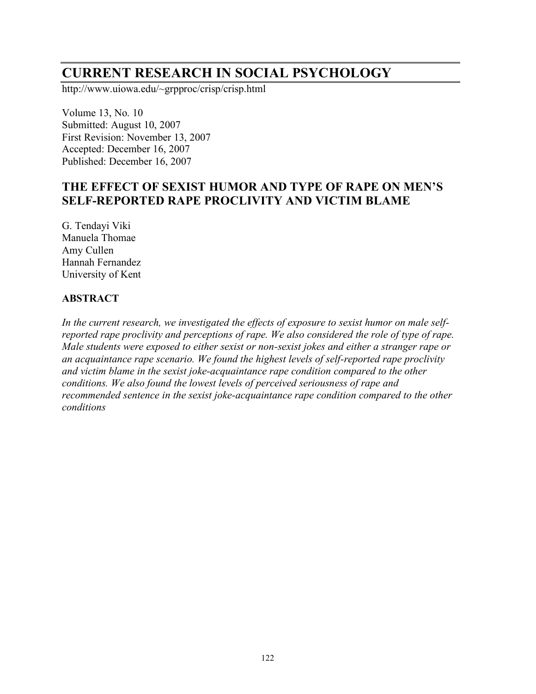# **CURRENT RESEARCH IN SOCIAL PSYCHOLOGY**

http://www.uiowa.edu/~grpproc/crisp/crisp.html

Volume 13, No. 10 Submitted: August 10, 2007 First Revision: November 13, 2007 Accepted: December 16, 2007 Published: December 16, 2007

## **THE EFFECT OF SEXIST HUMOR AND TYPE OF RAPE ON MEN'S SELF-REPORTED RAPE PROCLIVITY AND VICTIM BLAME**

G. Tendayi Viki Manuela Thomae Amy Cullen Hannah Fernandez University of Kent

#### **ABSTRACT**

*In the current research, we investigated the effects of exposure to sexist humor on male selfreported rape proclivity and perceptions of rape. We also considered the role of type of rape. Male students were exposed to either sexist or non-sexist jokes and either a stranger rape or an acquaintance rape scenario. We found the highest levels of self-reported rape proclivity and victim blame in the sexist joke-acquaintance rape condition compared to the other conditions. We also found the lowest levels of perceived seriousness of rape and recommended sentence in the sexist joke-acquaintance rape condition compared to the other conditions*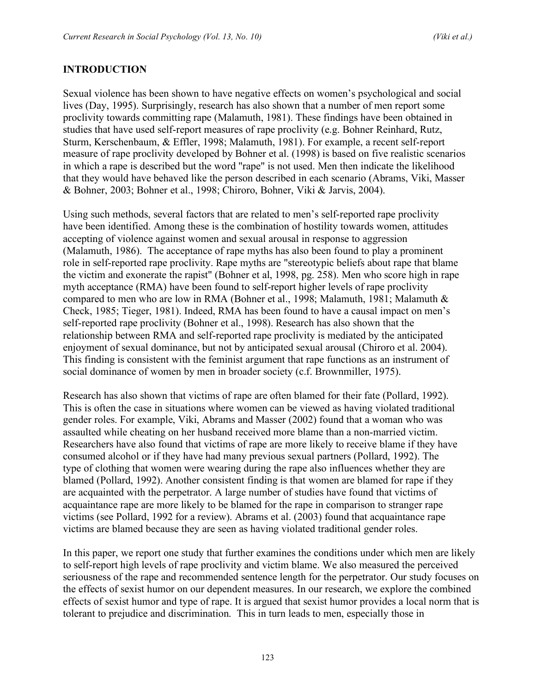#### **INTRODUCTION**

Sexual violence has been shown to have negative effects on women's psychological and social lives (Day, 1995). Surprisingly, research has also shown that a number of men report some proclivity towards committing rape (Malamuth, 1981). These findings have been obtained in studies that have used self-report measures of rape proclivity (e.g. Bohner Reinhard, Rutz, Sturm, Kerschenbaum, & Effler, 1998; Malamuth, 1981). For example, a recent self-report measure of rape proclivity developed by Bohner et al. (1998) is based on five realistic scenarios in which a rape is described but the word "rape" is not used. Men then indicate the likelihood that they would have behaved like the person described in each scenario (Abrams, Viki, Masser & Bohner, 2003; Bohner et al., 1998; Chiroro, Bohner, Viki & Jarvis, 2004).

Using such methods, several factors that are related to men's self-reported rape proclivity have been identified. Among these is the combination of hostility towards women, attitudes accepting of violence against women and sexual arousal in response to aggression (Malamuth, 1986). The acceptance of rape myths has also been found to play a prominent role in self-reported rape proclivity. Rape myths are "stereotypic beliefs about rape that blame the victim and exonerate the rapist" (Bohner et al, 1998, pg. 258). Men who score high in rape myth acceptance (RMA) have been found to self-report higher levels of rape proclivity compared to men who are low in RMA (Bohner et al., 1998; Malamuth, 1981; Malamuth & Check, 1985; Tieger, 1981). Indeed, RMA has been found to have a causal impact on men's self-reported rape proclivity (Bohner et al., 1998). Research has also shown that the relationship between RMA and self-reported rape proclivity is mediated by the anticipated enjoyment of sexual dominance, but not by anticipated sexual arousal (Chiroro et al. 2004). This finding is consistent with the feminist argument that rape functions as an instrument of social dominance of women by men in broader society (c.f. Brownmiller, 1975).

Research has also shown that victims of rape are often blamed for their fate (Pollard, 1992). This is often the case in situations where women can be viewed as having violated traditional gender roles. For example, Viki, Abrams and Masser (2002) found that a woman who was assaulted while cheating on her husband received more blame than a non-married victim. Researchers have also found that victims of rape are more likely to receive blame if they have consumed alcohol or if they have had many previous sexual partners (Pollard, 1992). The type of clothing that women were wearing during the rape also influences whether they are blamed (Pollard, 1992). Another consistent finding is that women are blamed for rape if they are acquainted with the perpetrator. A large number of studies have found that victims of acquaintance rape are more likely to be blamed for the rape in comparison to stranger rape victims (see Pollard, 1992 for a review). Abrams et al. (2003) found that acquaintance rape victims are blamed because they are seen as having violated traditional gender roles.

In this paper, we report one study that further examines the conditions under which men are likely to self-report high levels of rape proclivity and victim blame. We also measured the perceived seriousness of the rape and recommended sentence length for the perpetrator. Our study focuses on the effects of sexist humor on our dependent measures. In our research, we explore the combined effects of sexist humor and type of rape. It is argued that sexist humor provides a local norm that is tolerant to prejudice and discrimination. This in turn leads to men, especially those in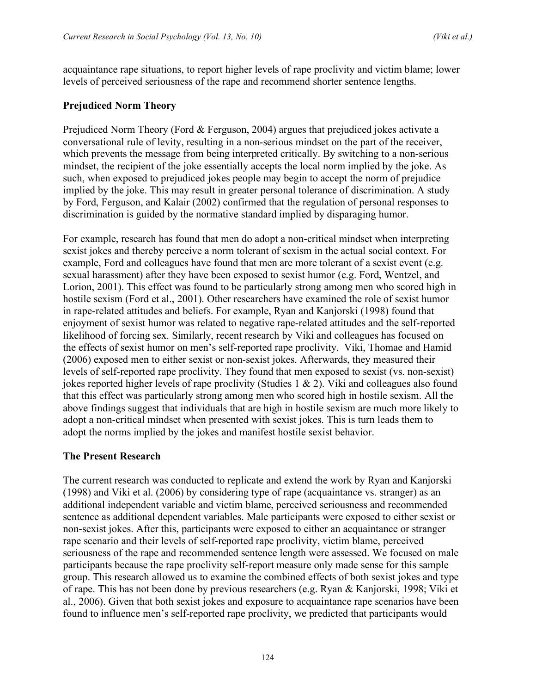acquaintance rape situations, to report higher levels of rape proclivity and victim blame; lower levels of perceived seriousness of the rape and recommend shorter sentence lengths.

#### **Prejudiced Norm Theory**

Prejudiced Norm Theory (Ford & Ferguson, 2004) argues that prejudiced jokes activate a conversational rule of levity, resulting in a non-serious mindset on the part of the receiver, which prevents the message from being interpreted critically. By switching to a non-serious mindset, the recipient of the joke essentially accepts the local norm implied by the joke. As such, when exposed to prejudiced jokes people may begin to accept the norm of prejudice implied by the joke. This may result in greater personal tolerance of discrimination. A study by Ford, Ferguson, and Kalair (2002) confirmed that the regulation of personal responses to discrimination is guided by the normative standard implied by disparaging humor.

For example, research has found that men do adopt a non-critical mindset when interpreting sexist jokes and thereby perceive a norm tolerant of sexism in the actual social context. For example, Ford and colleagues have found that men are more tolerant of a sexist event (e.g. sexual harassment) after they have been exposed to sexist humor (e.g. Ford, Wentzel, and Lorion, 2001). This effect was found to be particularly strong among men who scored high in hostile sexism (Ford et al., 2001). Other researchers have examined the role of sexist humor in rape-related attitudes and beliefs. For example, Ryan and Kanjorski (1998) found that enjoyment of sexist humor was related to negative rape-related attitudes and the self-reported likelihood of forcing sex. Similarly, recent research by Viki and colleagues has focused on the effects of sexist humor on men's self-reported rape proclivity. Viki, Thomae and Hamid (2006) exposed men to either sexist or non-sexist jokes. Afterwards, they measured their levels of self-reported rape proclivity. They found that men exposed to sexist (vs. non-sexist) jokes reported higher levels of rape proclivity (Studies 1 & 2). Viki and colleagues also found that this effect was particularly strong among men who scored high in hostile sexism. All the above findings suggest that individuals that are high in hostile sexism are much more likely to adopt a non-critical mindset when presented with sexist jokes. This is turn leads them to adopt the norms implied by the jokes and manifest hostile sexist behavior.

#### **The Present Research**

The current research was conducted to replicate and extend the work by Ryan and Kanjorski (1998) and Viki et al. (2006) by considering type of rape (acquaintance vs. stranger) as an additional independent variable and victim blame, perceived seriousness and recommended sentence as additional dependent variables. Male participants were exposed to either sexist or non-sexist jokes. After this, participants were exposed to either an acquaintance or stranger rape scenario and their levels of self-reported rape proclivity, victim blame, perceived seriousness of the rape and recommended sentence length were assessed. We focused on male participants because the rape proclivity self-report measure only made sense for this sample group. This research allowed us to examine the combined effects of both sexist jokes and type of rape. This has not been done by previous researchers (e.g. Ryan & Kanjorski, 1998; Viki et al., 2006). Given that both sexist jokes and exposure to acquaintance rape scenarios have been found to influence men's self-reported rape proclivity, we predicted that participants would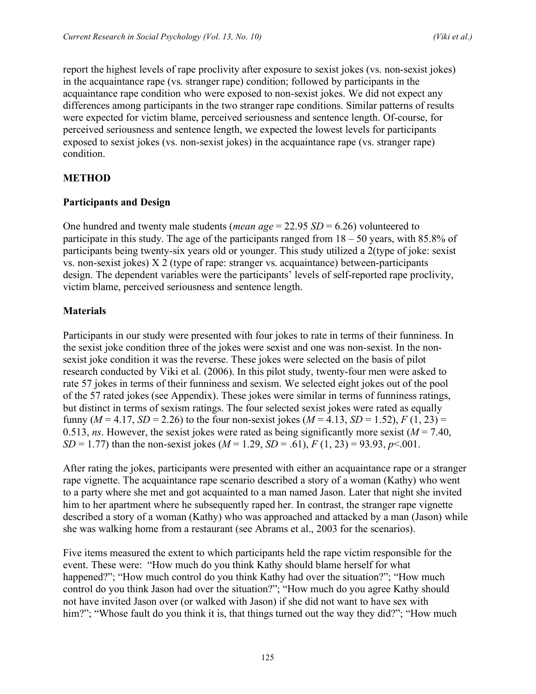report the highest levels of rape proclivity after exposure to sexist jokes (vs. non-sexist jokes) in the acquaintance rape (vs. stranger rape) condition; followed by participants in the acquaintance rape condition who were exposed to non-sexist jokes. We did not expect any differences among participants in the two stranger rape conditions. Similar patterns of results were expected for victim blame, perceived seriousness and sentence length. Of-course, for perceived seriousness and sentence length, we expected the lowest levels for participants exposed to sexist jokes (vs. non-sexist jokes) in the acquaintance rape (vs. stranger rape) condition.

## **METHOD**

#### **Participants and Design**

One hundred and twenty male students (*mean age* = 22.95 *SD* = 6.26) volunteered to participate in this study. The age of the participants ranged from  $18 - 50$  years, with 85.8% of participants being twenty-six years old or younger. This study utilized a 2(type of joke: sexist vs. non-sexist jokes) X 2 (type of rape: stranger vs. acquaintance) between-participants design. The dependent variables were the participants' levels of self-reported rape proclivity, victim blame, perceived seriousness and sentence length.

## **Materials**

Participants in our study were presented with four jokes to rate in terms of their funniness. In the sexist joke condition three of the jokes were sexist and one was non-sexist. In the nonsexist joke condition it was the reverse. These jokes were selected on the basis of pilot research conducted by Viki et al. (2006). In this pilot study, twenty-four men were asked to rate 57 jokes in terms of their funniness and sexism. We selected eight jokes out of the pool of the 57 rated jokes (see Appendix). These jokes were similar in terms of funniness ratings, but distinct in terms of sexism ratings. The four selected sexist jokes were rated as equally funny ( $M = 4.17$ ,  $SD = 2.26$ ) to the four non-sexist jokes ( $M = 4.13$ ,  $SD = 1.52$ ),  $F(1, 23) =$ 0.513, *ns*. However, the sexist jokes were rated as being significantly more sexist ( $M = 7.40$ , *SD* = 1.77) than the non-sexist jokes ( $M = 1.29$ ,  $SD = .61$ ),  $F(1, 23) = 93.93$ ,  $p < .001$ .

After rating the jokes, participants were presented with either an acquaintance rape or a stranger rape vignette. The acquaintance rape scenario described a story of a woman (Kathy) who went to a party where she met and got acquainted to a man named Jason. Later that night she invited him to her apartment where he subsequently raped her. In contrast, the stranger rape vignette described a story of a woman (Kathy) who was approached and attacked by a man (Jason) while she was walking home from a restaurant (see Abrams et al., 2003 for the scenarios).

Five items measured the extent to which participants held the rape victim responsible for the event. These were: "How much do you think Kathy should blame herself for what happened?"; "How much control do you think Kathy had over the situation?"; "How much control do you think Jason had over the situation?"; "How much do you agree Kathy should not have invited Jason over (or walked with Jason) if she did not want to have sex with him?"; "Whose fault do you think it is, that things turned out the way they did?"; "How much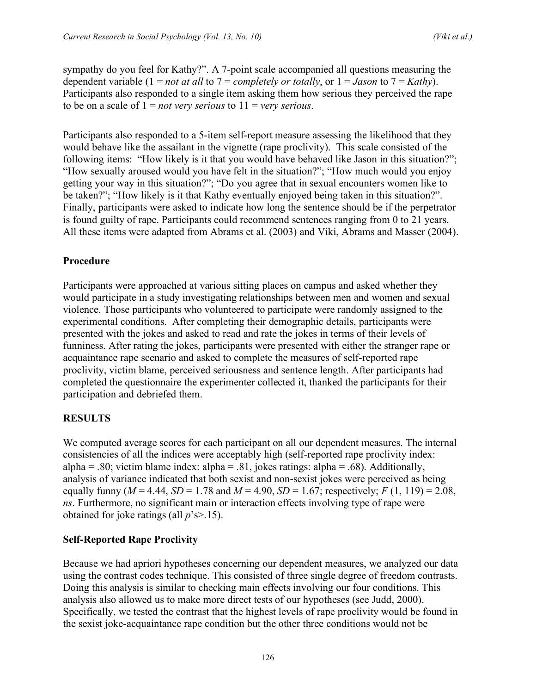sympathy do you feel for Kathy?". A 7-point scale accompanied all questions measuring the dependent variable  $(1 = not at all to 7 = completely or totally, or 1 = Jason to 7 = Kathy)$ . Participants also responded to a single item asking them how serious they perceived the rape to be on a scale of  $1 = not$  *very serious* to  $11 =$  *very serious*.

Participants also responded to a 5-item self-report measure assessing the likelihood that they would behave like the assailant in the vignette (rape proclivity). This scale consisted of the following items: "How likely is it that you would have behaved like Jason in this situation?"; "How sexually aroused would you have felt in the situation?"; "How much would you enjoy getting your way in this situation?"; "Do you agree that in sexual encounters women like to be taken?"; "How likely is it that Kathy eventually enjoyed being taken in this situation?". Finally, participants were asked to indicate how long the sentence should be if the perpetrator is found guilty of rape. Participants could recommend sentences ranging from 0 to 21 years. All these items were adapted from Abrams et al. (2003) and Viki, Abrams and Masser (2004).

#### **Procedure**

Participants were approached at various sitting places on campus and asked whether they would participate in a study investigating relationships between men and women and sexual violence. Those participants who volunteered to participate were randomly assigned to the experimental conditions. After completing their demographic details, participants were presented with the jokes and asked to read and rate the jokes in terms of their levels of funniness. After rating the jokes, participants were presented with either the stranger rape or acquaintance rape scenario and asked to complete the measures of self-reported rape proclivity, victim blame, perceived seriousness and sentence length. After participants had completed the questionnaire the experimenter collected it, thanked the participants for their participation and debriefed them.

## **RESULTS**

We computed average scores for each participant on all our dependent measures. The internal consistencies of all the indices were acceptably high (self-reported rape proclivity index: alpha = .80; victim blame index: alpha = .81, jokes ratings: alpha = .68). Additionally, analysis of variance indicated that both sexist and non-sexist jokes were perceived as being equally funny ( $M = 4.44$ ,  $SD = 1.78$  and  $M = 4.90$ ,  $SD = 1.67$ ; respectively;  $F(1, 119) = 2.08$ , *ns*. Furthermore, no significant main or interaction effects involving type of rape were obtained for joke ratings (all *p*'s>.15).

#### **Self-Reported Rape Proclivity**

Because we had apriori hypotheses concerning our dependent measures, we analyzed our data using the contrast codes technique. This consisted of three single degree of freedom contrasts. Doing this analysis is similar to checking main effects involving our four conditions. This analysis also allowed us to make more direct tests of our hypotheses (see Judd, 2000). Specifically, we tested the contrast that the highest levels of rape proclivity would be found in the sexist joke-acquaintance rape condition but the other three conditions would not be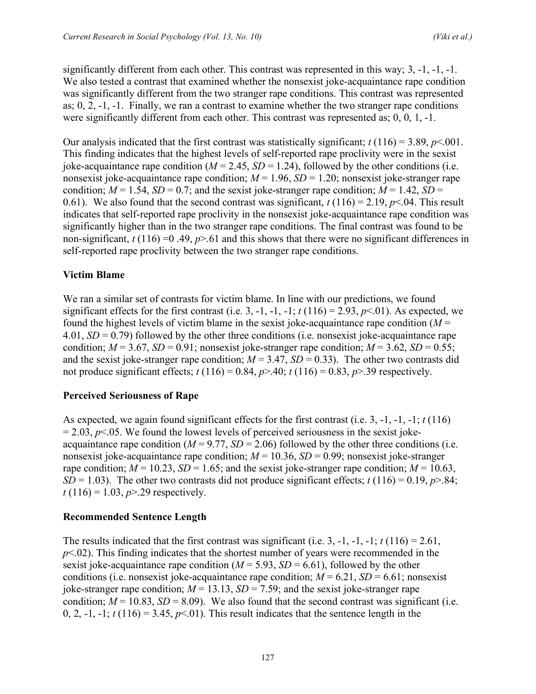significantly different from each other. This contrast was represented in this way; 3, -1, -1, -1. We also tested a contrast that examined whether the nonsexist joke-acquaintance rape condition was significantly different from the two stranger rape conditions. This contrast was represented as;  $0, 2, -1, -1$ . Finally, we ran a contrast to examine whether the two stranger rape conditions were significantly different from each other. This contrast was represented as; 0, 0, 1, -1.

Our analysis indicated that the first contrast was statistically significant;  $t(116) = 3.89$ ,  $p < 0.001$ . This finding indicates that the highest levels of self-reported rape proclivity were in the sexist joke-acquaintance rape condition  $(M = 2.45, SD = 1.24)$ , followed by the other conditions (i.e. nonsexist joke-acquaintance rape condition;  $M = 1.96$ ,  $SD = 1.20$ ; nonsexist joke-stranger rape condition;  $M = 1.54$ ,  $SD = 0.7$ ; and the sexist joke-stranger rape condition;  $M = 1.42$ ,  $SD =$ 0.61). We also found that the second contrast was significant,  $t(116) = 2.19$ ,  $p<.04$ . This result indicates that self-reported rape proclivity in the nonsexist joke-acquaintance rape condition was significantly higher than in the two stranger rape conditions. The final contrast was found to be non-significant,  $t(116) = 0.49$ ,  $p > 61$  and this shows that there were no significant differences in self-reported rape proclivity between the two stranger rape conditions.

## **Victim Blame**

We ran a similar set of contrasts for victim blame. In line with our predictions, we found significant effects for the first contrast (i.e. 3, -1, -1, -1;  $t(116) = 2.93$ ,  $p \le 0.01$ ). As expected, we found the highest levels of victim blame in the sexist joke-acquaintance rape condition  $(M =$ 4.01, *SD* = 0.79) followed by the other three conditions (i.e. nonsexist joke-acquaintance rape condition;  $M = 3.67$ ,  $SD = 0.91$ ; nonsexist joke-stranger rape condition;  $M = 3.62$ ,  $SD = 0.55$ ; and the sexist joke-stranger rape condition;  $M = 3.47$ ,  $SD = 0.33$ ). The other two contrasts did not produce significant effects;  $t(116) = 0.84$ ,  $p > .40$ ;  $t(116) = 0.83$ ,  $p > .39$  respectively.

#### **Perceived Seriousness of Rape**

As expected, we again found significant effects for the first contrast (i.e. 3, -1, -1, -1; *t* (116)  $= 2.03$ ,  $p \le 0.05$ . We found the lowest levels of perceived seriousness in the sexist jokeacquaintance rape condition  $(M = 9.77, SD = 2.06)$  followed by the other three conditions (i.e. nonsexist joke-acquaintance rape condition;  $M = 10.36$ ,  $SD = 0.99$ ; nonsexist joke-stranger rape condition;  $M = 10.23$ ,  $SD = 1.65$ ; and the sexist joke-stranger rape condition;  $M = 10.63$ , *SD* = 1.03). The other two contrasts did not produce significant effects;  $t(116) = 0.19$ ,  $p > 0.84$ ; *t* (116) = 1.03, *p*>.29 respectively.

#### **Recommended Sentence Length**

The results indicated that the first contrast was significant (i.e. 3, -1, -1, -1;  $t(116) = 2.61$ , *p*<.02). This finding indicates that the shortest number of years were recommended in the sexist joke-acquaintance rape condition  $(M = 5.93, SD = 6.61)$ , followed by the other conditions (i.e. nonsexist joke-acquaintance rape condition;  $M = 6.21$ ,  $SD = 6.61$ ; nonsexist joke-stranger rape condition;  $M = 13.13$ ,  $SD = 7.59$ ; and the sexist joke-stranger rape condition;  $M = 10.83$ ,  $SD = 8.09$ ). We also found that the second contrast was significant (i.e. 0, 2, -1, -1;  $t(116) = 3.45$ ,  $p<01$ ). This result indicates that the sentence length in the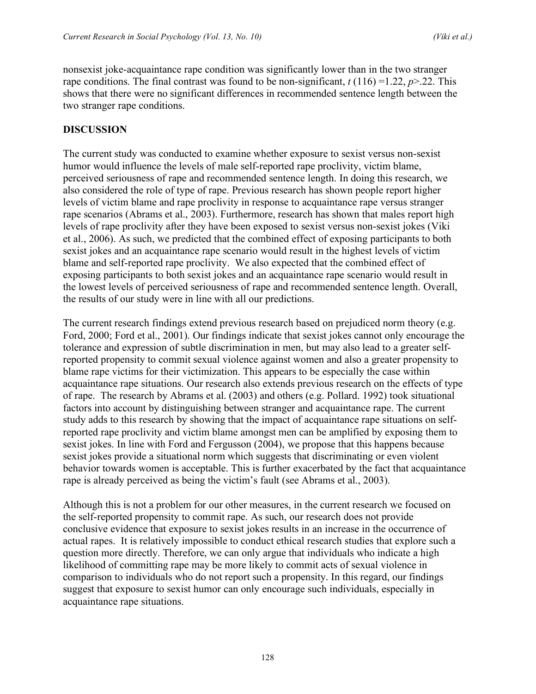nonsexist joke-acquaintance rape condition was significantly lower than in the two stranger rape conditions. The final contrast was found to be non-significant,  $t(116) = 1.22$ ,  $p > 22$ . This shows that there were no significant differences in recommended sentence length between the two stranger rape conditions.

#### **DISCUSSION**

The current study was conducted to examine whether exposure to sexist versus non-sexist humor would influence the levels of male self-reported rape proclivity, victim blame, perceived seriousness of rape and recommended sentence length. In doing this research, we also considered the role of type of rape. Previous research has shown people report higher levels of victim blame and rape proclivity in response to acquaintance rape versus stranger rape scenarios (Abrams et al., 2003). Furthermore, research has shown that males report high levels of rape proclivity after they have been exposed to sexist versus non-sexist jokes (Viki et al., 2006). As such, we predicted that the combined effect of exposing participants to both sexist jokes and an acquaintance rape scenario would result in the highest levels of victim blame and self-reported rape proclivity. We also expected that the combined effect of exposing participants to both sexist jokes and an acquaintance rape scenario would result in the lowest levels of perceived seriousness of rape and recommended sentence length. Overall, the results of our study were in line with all our predictions.

The current research findings extend previous research based on prejudiced norm theory (e.g. Ford, 2000; Ford et al., 2001). Our findings indicate that sexist jokes cannot only encourage the tolerance and expression of subtle discrimination in men, but may also lead to a greater selfreported propensity to commit sexual violence against women and also a greater propensity to blame rape victims for their victimization. This appears to be especially the case within acquaintance rape situations. Our research also extends previous research on the effects of type of rape. The research by Abrams et al. (2003) and others (e.g. Pollard. 1992) took situational factors into account by distinguishing between stranger and acquaintance rape. The current study adds to this research by showing that the impact of acquaintance rape situations on selfreported rape proclivity and victim blame amongst men can be amplified by exposing them to sexist jokes. In line with Ford and Fergusson (2004), we propose that this happens because sexist jokes provide a situational norm which suggests that discriminating or even violent behavior towards women is acceptable. This is further exacerbated by the fact that acquaintance rape is already perceived as being the victim's fault (see Abrams et al., 2003).

Although this is not a problem for our other measures, in the current research we focused on the self-reported propensity to commit rape. As such, our research does not provide conclusive evidence that exposure to sexist jokes results in an increase in the occurrence of actual rapes. It is relatively impossible to conduct ethical research studies that explore such a question more directly. Therefore, we can only argue that individuals who indicate a high likelihood of committing rape may be more likely to commit acts of sexual violence in comparison to individuals who do not report such a propensity. In this regard, our findings suggest that exposure to sexist humor can only encourage such individuals, especially in acquaintance rape situations.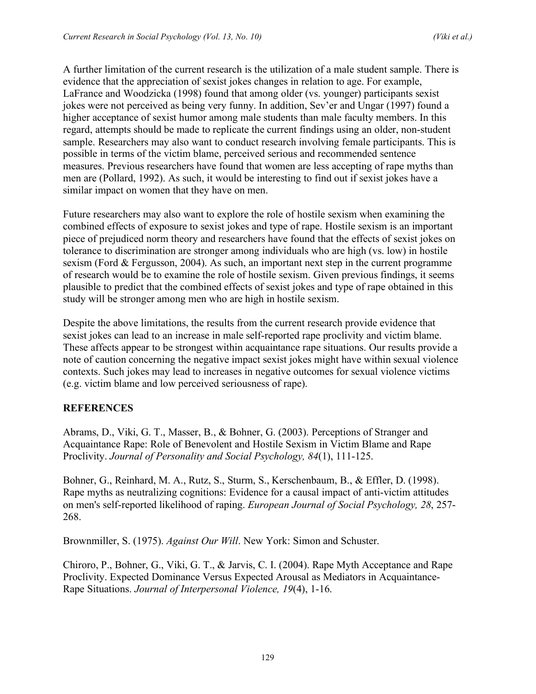A further limitation of the current research is the utilization of a male student sample. There is evidence that the appreciation of sexist jokes changes in relation to age. For example, LaFrance and Woodzicka (1998) found that among older (vs. younger) participants sexist jokes were not perceived as being very funny. In addition, Sev'er and Ungar (1997) found a higher acceptance of sexist humor among male students than male faculty members. In this regard, attempts should be made to replicate the current findings using an older, non-student sample. Researchers may also want to conduct research involving female participants. This is possible in terms of the victim blame, perceived serious and recommended sentence measures. Previous researchers have found that women are less accepting of rape myths than men are (Pollard, 1992). As such, it would be interesting to find out if sexist jokes have a similar impact on women that they have on men.

Future researchers may also want to explore the role of hostile sexism when examining the combined effects of exposure to sexist jokes and type of rape. Hostile sexism is an important piece of prejudiced norm theory and researchers have found that the effects of sexist jokes on tolerance to discrimination are stronger among individuals who are high (vs. low) in hostile sexism (Ford & Fergusson, 2004). As such, an important next step in the current programme of research would be to examine the role of hostile sexism. Given previous findings, it seems plausible to predict that the combined effects of sexist jokes and type of rape obtained in this study will be stronger among men who are high in hostile sexism.

Despite the above limitations, the results from the current research provide evidence that sexist jokes can lead to an increase in male self-reported rape proclivity and victim blame. These affects appear to be strongest within acquaintance rape situations. Our results provide a note of caution concerning the negative impact sexist jokes might have within sexual violence contexts. Such jokes may lead to increases in negative outcomes for sexual violence victims (e.g. victim blame and low perceived seriousness of rape).

#### **REFERENCES**

Abrams, D., Viki, G. T., Masser, B., & Bohner, G. (2003). Perceptions of Stranger and Acquaintance Rape: Role of Benevolent and Hostile Sexism in Victim Blame and Rape Proclivity. *Journal of Personality and Social Psychology, 84*(1), 111-125.

Bohner, G., Reinhard, M. A., Rutz, S., Sturm, S., Kerschenbaum, B., & Effler, D. (1998). Rape myths as neutralizing cognitions: Evidence for a causal impact of anti-victim attitudes on men's self-reported likelihood of raping. *European Journal of Social Psychology, 28*, 257- 268.

Brownmiller, S. (1975). *Against Our Will*. New York: Simon and Schuster.

Chiroro, P., Bohner, G., Viki, G. T., & Jarvis, C. I. (2004). Rape Myth Acceptance and Rape Proclivity. Expected Dominance Versus Expected Arousal as Mediators in Acquaintance-Rape Situations. *Journal of Interpersonal Violence, 19*(4), 1-16.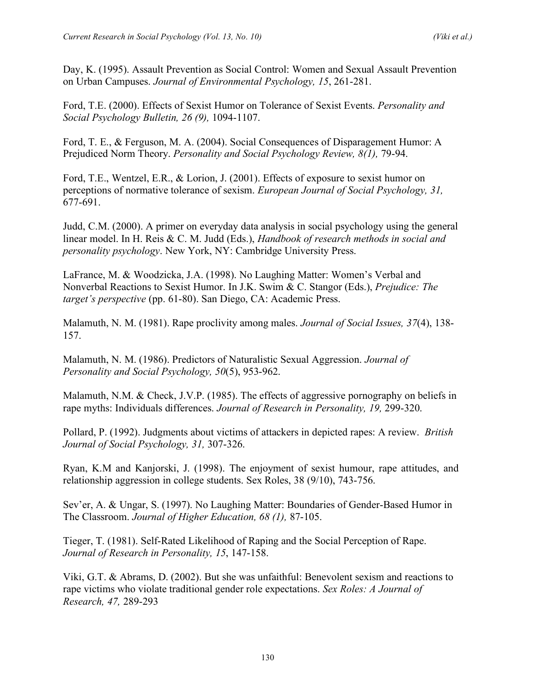Day, K. (1995). Assault Prevention as Social Control: Women and Sexual Assault Prevention on Urban Campuses. *Journal of Environmental Psychology, 15*, 261-281.

Ford, T.E. (2000). Effects of Sexist Humor on Tolerance of Sexist Events. *Personality and Social Psychology Bulletin, 26 (9),* 1094-1107.

Ford, T. E., & Ferguson, M. A. (2004). Social Consequences of Disparagement Humor: A Prejudiced Norm Theory. *Personality and Social Psychology Review, 8(1),* 79-94.

Ford, T.E., Wentzel, E.R., & Lorion, J. (2001). Effects of exposure to sexist humor on perceptions of normative tolerance of sexism. *European Journal of Social Psychology, 31,* 677-691.

Judd, C.M. (2000). A primer on everyday data analysis in social psychology using the general linear model. In H. Reis & C. M. Judd (Eds.), *Handbook of research methods in social and personality psychology*. New York, NY: Cambridge University Press.

LaFrance, M. & Woodzicka, J.A. (1998). No Laughing Matter: Women's Verbal and Nonverbal Reactions to Sexist Humor. In J.K. Swim & C. Stangor (Eds.), *Prejudice: The target's perspective* (pp. 61-80). San Diego, CA: Academic Press.

Malamuth, N. M. (1981). Rape proclivity among males. *Journal of Social Issues, 37*(4), 138- 157.

Malamuth, N. M. (1986). Predictors of Naturalistic Sexual Aggression. *Journal of Personality and Social Psychology, 50*(5), 953-962.

Malamuth, N.M. & Check, J.V.P. (1985). The effects of aggressive pornography on beliefs in rape myths: Individuals differences. *Journal of Research in Personality, 19,* 299-320.

Pollard, P. (1992). Judgments about victims of attackers in depicted rapes: A review. *British Journal of Social Psychology, 31,* 307-326.

Ryan, K.M and Kanjorski, J. (1998). The enjoyment of sexist humour, rape attitudes, and relationship aggression in college students. Sex Roles, 38 (9/10), 743-756.

Sev'er, A. & Ungar, S. (1997). No Laughing Matter: Boundaries of Gender-Based Humor in The Classroom. *Journal of Higher Education, 68 (1),* 87-105.

Tieger, T. (1981). Self-Rated Likelihood of Raping and the Social Perception of Rape. *Journal of Research in Personality, 15*, 147-158.

Viki, G.T. & Abrams, D. (2002). But she was unfaithful: Benevolent sexism and reactions to rape victims who violate traditional gender role expectations. *Sex Roles: A Journal of Research, 47,* 289-293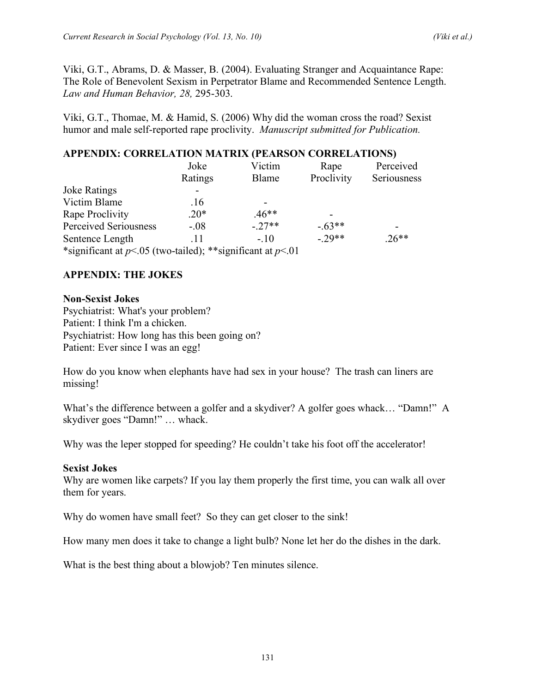Viki, G.T., Abrams, D. & Masser, B. (2004). Evaluating Stranger and Acquaintance Rape: The Role of Benevolent Sexism in Perpetrator Blame and Recommended Sentence Length. *Law and Human Behavior, 28,* 295-303.

Viki, G.T., Thomae, M. & Hamid, S. (2006) Why did the woman cross the road? Sexist humor and male self-reported rape proclivity. *Manuscript submitted for Publication.*

## **APPENDIX: CORRELATION MATRIX (PEARSON CORRELATIONS)**

|                                                              | Joke<br>Ratings | Victim<br>Blame | Rape<br>Proclivity | Perceived<br>Seriousness |
|--------------------------------------------------------------|-----------------|-----------------|--------------------|--------------------------|
|                                                              |                 |                 |                    |                          |
| <b>Joke Ratings</b>                                          |                 |                 |                    |                          |
| Victim Blame                                                 | .16             |                 |                    |                          |
| Rape Proclivity                                              | $.20*$          | $.46**$         |                    |                          |
| Perceived Seriousness                                        | $-.08$          | $-27**$         | $-63**$            |                          |
| Sentence Length                                              | .11             | $-.10$          | $-29**$            | $.26**$                  |
| *significant at $p<05$ (two-tailed); **significant at $p<01$ |                 |                 |                    |                          |

## **APPENDIX: THE JOKES**

#### **Non-Sexist Jokes**

Psychiatrist: What's your problem? Patient: I think I'm a chicken. Psychiatrist: How long has this been going on? Patient: Ever since I was an egg!

How do you know when elephants have had sex in your house? The trash can liners are missing!

What's the difference between a golfer and a skydiver? A golfer goes whack… "Damn!" A skydiver goes "Damn!" … whack.

Why was the leper stopped for speeding? He couldn't take his foot off the accelerator!

#### **Sexist Jokes**

Why are women like carpets? If you lay them properly the first time, you can walk all over them for years.

Why do women have small feet? So they can get closer to the sink!

How many men does it take to change a light bulb? None let her do the dishes in the dark.

What is the best thing about a blowjob? Ten minutes silence.